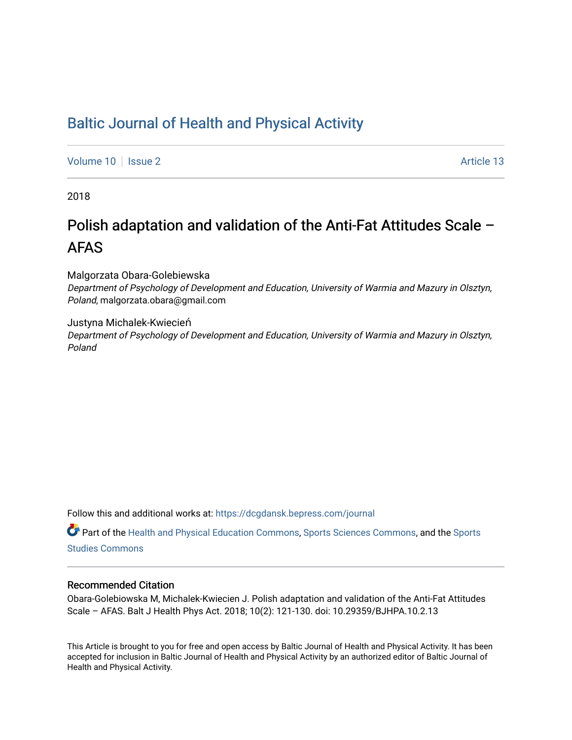# [Baltic Journal of Health and Physical Activity](https://dcgdansk.bepress.com/journal)

[Volume 10](https://dcgdansk.bepress.com/journal/vol10) | [Issue 2](https://dcgdansk.bepress.com/journal/vol10/iss2) Article 13

2018

# Polish adaptation and validation of the Anti-Fat Attitudes Scale – AFAS

Malgorzata Obara-Golebiewska

Department of Psychology of Development and Education, University of Warmia and Mazury in Olsztyn, Poland, malgorzata.obara@gmail.com

Justyna Michalek-Kwiecień Department of Psychology of Development and Education, University of Warmia and Mazury in Olsztyn, Poland

Follow this and additional works at: [https://dcgdansk.bepress.com/journal](https://dcgdansk.bepress.com/journal?utm_source=dcgdansk.bepress.com%2Fjournal%2Fvol10%2Fiss2%2F13&utm_medium=PDF&utm_campaign=PDFCoverPages)

Part of the [Health and Physical Education Commons](http://network.bepress.com/hgg/discipline/1327?utm_source=dcgdansk.bepress.com%2Fjournal%2Fvol10%2Fiss2%2F13&utm_medium=PDF&utm_campaign=PDFCoverPages), [Sports Sciences Commons](http://network.bepress.com/hgg/discipline/759?utm_source=dcgdansk.bepress.com%2Fjournal%2Fvol10%2Fiss2%2F13&utm_medium=PDF&utm_campaign=PDFCoverPages), and the [Sports](http://network.bepress.com/hgg/discipline/1198?utm_source=dcgdansk.bepress.com%2Fjournal%2Fvol10%2Fiss2%2F13&utm_medium=PDF&utm_campaign=PDFCoverPages)  [Studies Commons](http://network.bepress.com/hgg/discipline/1198?utm_source=dcgdansk.bepress.com%2Fjournal%2Fvol10%2Fiss2%2F13&utm_medium=PDF&utm_campaign=PDFCoverPages) 

#### Recommended Citation

Obara-Golebiowska M, Michalek-Kwiecien J. Polish adaptation and validation of the Anti-Fat Attitudes Scale – AFAS. Balt J Health Phys Act. 2018; 10(2): 121-130. doi: 10.29359/BJHPA.10.2.13

This Article is brought to you for free and open access by Baltic Journal of Health and Physical Activity. It has been accepted for inclusion in Baltic Journal of Health and Physical Activity by an authorized editor of Baltic Journal of Health and Physical Activity.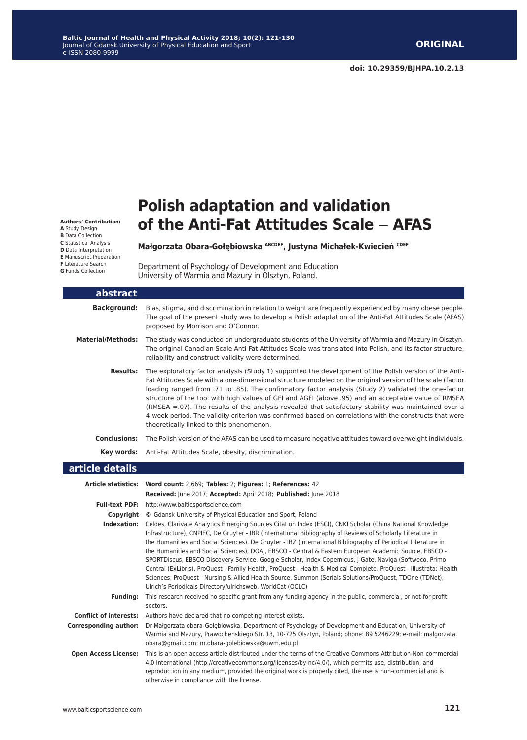**Authors' Contribution:**

**A** Study Design

**B** Data Collection

**C** Statistical Analysis

**D** Data Interpretation

**E** Manuscript Preparation

**F** Literature Search

**G** Funds Collection

# **Polish adaptation and validation of the Anti-Fat Attitudes Scale** ‒ **AFAS**

**Małgorzata Obara-Gołębiowska ABCDEF, Justyna Michałek-Kwiecień CDEF**

Department of Psychology of Development and Education, University of Warmia and Mazury in Olsztyn, Poland,

| abstract                     |                                                                                                                                                                                                                                                                                                                                                                                                                                                                                                                                                                                                                                                                                                                                                                                                                                                                           |
|------------------------------|---------------------------------------------------------------------------------------------------------------------------------------------------------------------------------------------------------------------------------------------------------------------------------------------------------------------------------------------------------------------------------------------------------------------------------------------------------------------------------------------------------------------------------------------------------------------------------------------------------------------------------------------------------------------------------------------------------------------------------------------------------------------------------------------------------------------------------------------------------------------------|
| <b>Background:</b>           | Bias, stigma, and discrimination in relation to weight are frequently experienced by many obese people.<br>The goal of the present study was to develop a Polish adaptation of the Anti-Fat Attitudes Scale (AFAS)<br>proposed by Morrison and O'Connor.                                                                                                                                                                                                                                                                                                                                                                                                                                                                                                                                                                                                                  |
| <b>Material/Methods:</b>     | The study was conducted on undergraduate students of the University of Warmia and Mazury in Olsztyn.<br>The original Canadian Scale Anti-Fat Attitudes Scale was translated into Polish, and its factor structure,<br>reliability and construct validity were determined.                                                                                                                                                                                                                                                                                                                                                                                                                                                                                                                                                                                                 |
| <b>Results:</b>              | The exploratory factor analysis (Study 1) supported the development of the Polish version of the Anti-<br>Fat Attitudes Scale with a one-dimensional structure modeled on the original version of the scale (factor<br>loading ranged from .71 to .85). The confirmatory factor analysis (Study 2) validated the one-factor<br>structure of the tool with high values of GFI and AGFI (above .95) and an acceptable value of RMSEA<br>(RMSEA $=0.07$ ). The results of the analysis revealed that satisfactory stability was maintained over a<br>4-week period. The validity criterion was confirmed based on correlations with the constructs that were<br>theoretically linked to this phenomenon.                                                                                                                                                                     |
|                              | Conclusions: The Polish version of the AFAS can be used to measure negative attitudes toward overweight individuals.                                                                                                                                                                                                                                                                                                                                                                                                                                                                                                                                                                                                                                                                                                                                                      |
|                              | Key words: Anti-Fat Attitudes Scale, obesity, discrimination.                                                                                                                                                                                                                                                                                                                                                                                                                                                                                                                                                                                                                                                                                                                                                                                                             |
| article details              |                                                                                                                                                                                                                                                                                                                                                                                                                                                                                                                                                                                                                                                                                                                                                                                                                                                                           |
|                              | Article statistics: Word count: 2,669; Tables: 2; Figures: 1; References: 42<br>Received: June 2017; Accepted: April 2018; Published: June 2018                                                                                                                                                                                                                                                                                                                                                                                                                                                                                                                                                                                                                                                                                                                           |
|                              | Full-text PDF: http://www.balticsportscience.com                                                                                                                                                                                                                                                                                                                                                                                                                                                                                                                                                                                                                                                                                                                                                                                                                          |
|                              | <b>Copyright</b> © Gdansk University of Physical Education and Sport, Poland                                                                                                                                                                                                                                                                                                                                                                                                                                                                                                                                                                                                                                                                                                                                                                                              |
|                              | Indexation: Celdes, Clarivate Analytics Emerging Sources Citation Index (ESCI), CNKI Scholar (China National Knowledge<br>Infrastructure), CNPIEC, De Gruyter - IBR (International Bibliography of Reviews of Scholarly Literature in<br>the Humanities and Social Sciences), De Gruyter - IBZ (International Bibliography of Periodical Literature in<br>the Humanities and Social Sciences), DOAJ, EBSCO - Central & Eastern European Academic Source, EBSCO -<br>SPORTDiscus, EBSCO Discovery Service, Google Scholar, Index Copernicus, J-Gate, Naviga (Softweco, Primo<br>Central (ExLibris), ProQuest - Family Health, ProQuest - Health & Medical Complete, ProQuest - Illustrata: Health<br>Sciences, ProQuest - Nursing & Allied Health Source, Summon (Serials Solutions/ProQuest, TDOne (TDNet),<br>Ulrich's Periodicals Directory/ulrichsweb, WorldCat (OCLC) |
| <b>Funding:</b>              | This research received no specific grant from any funding agency in the public, commercial, or not-for-profit<br>sectors.                                                                                                                                                                                                                                                                                                                                                                                                                                                                                                                                                                                                                                                                                                                                                 |
|                              | <b>Conflict of interests:</b> Authors have declared that no competing interest exists.                                                                                                                                                                                                                                                                                                                                                                                                                                                                                                                                                                                                                                                                                                                                                                                    |
| <b>Corresponding author:</b> | Dr Małgorzata obara-Gołębiowska, Department of Psychology of Development and Education, University of<br>Warmia and Mazury, Prawochenskiego Str. 13, 10-725 Olsztyn, Poland; phone: 89 5246229; e-mail: malgorzata.<br>obara@gmail.com; m.obara-golebiowska@uwm.edu.pl                                                                                                                                                                                                                                                                                                                                                                                                                                                                                                                                                                                                    |
| <b>Open Access License:</b>  | This is an open access article distributed under the terms of the Creative Commons Attribution-Non-commercial<br>4.0 International (http://creativecommons.org/licenses/by-nc/4.0/), which permits use, distribution, and<br>reproduction in any medium, provided the original work is properly cited, the use is non-commercial and is<br>otherwise in compliance with the license.                                                                                                                                                                                                                                                                                                                                                                                                                                                                                      |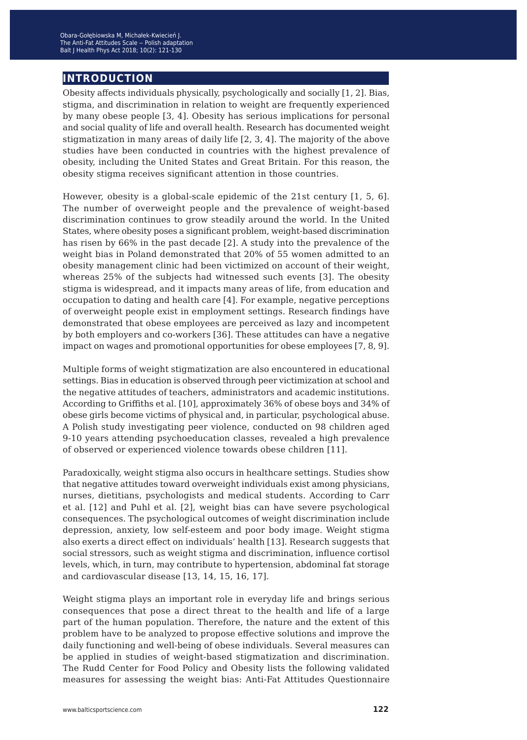## **introduction**

Obesity affects individuals physically, psychologically and socially [1, 2]. Bias, stigma, and discrimination in relation to weight are frequently experienced by many obese people [3, 4]. Obesity has serious implications for personal and social quality of life and overall health. Research has documented weight stigmatization in many areas of daily life [2, 3, 4]. The majority of the above studies have been conducted in countries with the highest prevalence of obesity, including the United States and Great Britain. For this reason, the obesity stigma receives significant attention in those countries.

However, obesity is a global-scale epidemic of the 21st century [1, 5, 6]. The number of overweight people and the prevalence of weight-based discrimination continues to grow steadily around the world. In the United States, where obesity poses a significant problem, weight-based discrimination has risen by 66% in the past decade [2]. A study into the prevalence of the weight bias in Poland demonstrated that 20% of 55 women admitted to an obesity management clinic had been victimized on account of their weight, whereas 25% of the subjects had witnessed such events [3]. The obesity stigma is widespread, and it impacts many areas of life, from education and occupation to dating and health care [4]. For example, negative perceptions of overweight people exist in employment settings. Research findings have demonstrated that obese employees are perceived as lazy and incompetent by both employers and co-workers [36]. These attitudes can have a negative impact on wages and promotional opportunities for obese employees [7, 8, 9].

Multiple forms of weight stigmatization are also encountered in educational settings. Bias in education is observed through peer victimization at school and the negative attitudes of teachers, administrators and academic institutions. According to Griffiths et al. [10], approximately 36% of obese boys and 34% of obese girls become victims of physical and, in particular, psychological abuse. A Polish study investigating peer violence, conducted on 98 children aged 9-10 years attending psychoeducation classes, revealed a high prevalence of observed or experienced violence towards obese children [11].

Paradoxically, weight stigma also occurs in healthcare settings. Studies show that negative attitudes toward overweight individuals exist among physicians, nurses, dietitians, psychologists and medical students. According to Carr et al. [12] and Puhl et al. [2], weight bias can have severe psychological consequences. The psychological outcomes of weight discrimination include depression, anxiety, low self-esteem and poor body image. Weight stigma also exerts a direct effect on individuals' health [13]. Research suggests that social stressors, such as weight stigma and discrimination, influence cortisol levels, which, in turn, may contribute to hypertension, abdominal fat storage and cardiovascular disease [13, 14, 15, 16, 17].

Weight stigma plays an important role in everyday life and brings serious consequences that pose a direct threat to the health and life of a large part of the human population. Therefore, the nature and the extent of this problem have to be analyzed to propose effective solutions and improve the daily functioning and well-being of obese individuals. Several measures can be applied in studies of weight-based stigmatization and discrimination. The Rudd Center for Food Policy and Obesity lists the following validated measures for assessing the weight bias: Anti-Fat Attitudes Questionnaire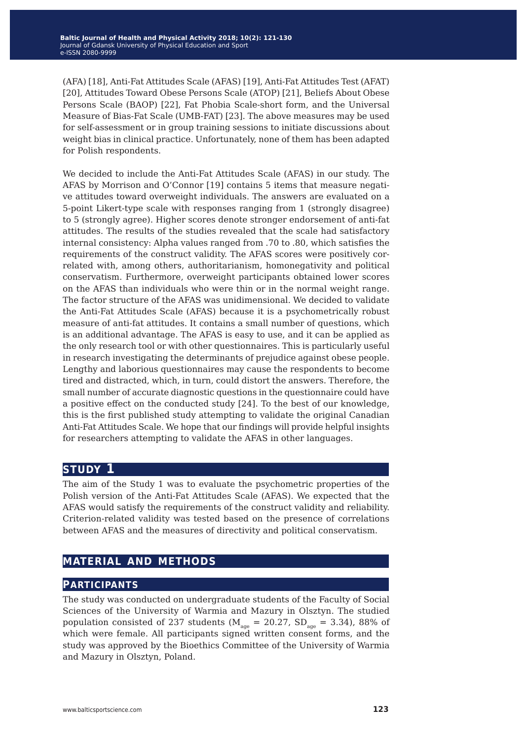(AFA) [18], Anti-Fat Attitudes Scale (AFAS) [19], Anti-Fat Attitudes Test (AFAT) [20], Attitudes Toward Obese Persons Scale (ATOP) [21], Beliefs About Obese Persons Scale (BAOP) [22], Fat Phobia Scale-short form, and the Universal Measure of Bias-Fat Scale (UMB-FAT) [23]. The above measures may be used for self-assessment or in group training sessions to initiate discussions about weight bias in clinical practice. Unfortunately, none of them has been adapted for Polish respondents.

We decided to include the Anti-Fat Attitudes Scale (AFAS) in our study. The AFAS by Morrison and O'Connor [19] contains 5 items that measure negative attitudes toward overweight individuals. The answers are evaluated on a 5-point Likert-type scale with responses ranging from 1 (strongly disagree) to 5 (strongly agree). Higher scores denote stronger endorsement of anti-fat attitudes. The results of the studies revealed that the scale had satisfactory internal consistency: Alpha values ranged from .70 to .80, which satisfies the requirements of the construct validity. The AFAS scores were positively correlated with, among others, authoritarianism, homonegativity and political conservatism. Furthermore, overweight participants obtained lower scores on the AFAS than individuals who were thin or in the normal weight range. The factor structure of the AFAS was unidimensional. We decided to validate the Anti-Fat Attitudes Scale (AFAS) because it is a psychometrically robust measure of anti-fat attitudes. It contains a small number of questions, which is an additional advantage. The AFAS is easy to use, and it can be applied as the only research tool or with other questionnaires. This is particularly useful in research investigating the determinants of prejudice against obese people. Lengthy and laborious questionnaires may cause the respondents to become tired and distracted, which, in turn, could distort the answers. Therefore, the small number of accurate diagnostic questions in the questionnaire could have a positive effect on the conducted study [24]. To the best of our knowledge, this is the first published study attempting to validate the original Canadian Anti-Fat Attitudes Scale. We hope that our findings will provide helpful insights for researchers attempting to validate the AFAS in other languages.

# **study 1**

The aim of the Study 1 was to evaluate the psychometric properties of the Polish version of the Anti-Fat Attitudes Scale (AFAS). We expected that the AFAS would satisfy the requirements of the construct validity and reliability. Criterion-related validity was tested based on the presence of correlations between AFAS and the measures of directivity and political conservatism.

# **material and methods**

#### **participants**

The study was conducted on undergraduate students of the Faculty of Social Sciences of the University of Warmia and Mazury in Olsztyn. The studied population consisted of 237 students ( $M_{\text{age}} = 20.27$ ,  $SD_{\text{age}} = 3.34$ ), 88% of which were female. All participants signed written consent forms, and the study was approved by the Bioethics Committee of the University of Warmia and Mazury in Olsztyn, Poland.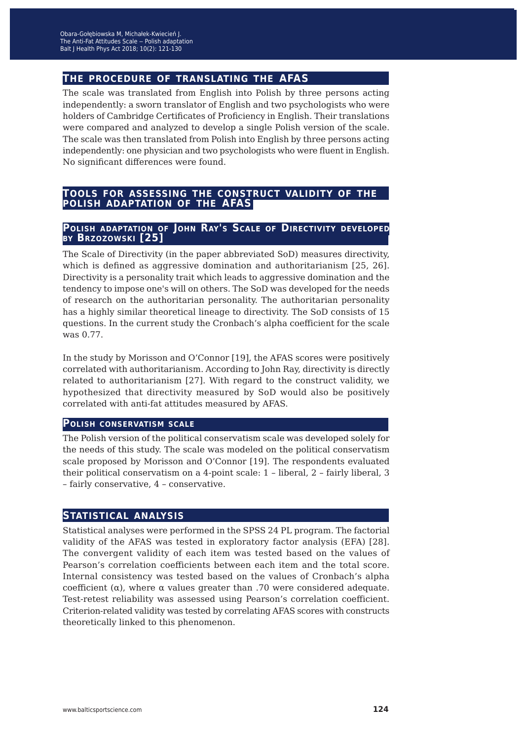# **the procedure of translating the afas**

The scale was translated from English into Polish by three persons acting independently: a sworn translator of English and two psychologists who were holders of Cambridge Certificates of Proficiency in English. Their translations were compared and analyzed to develop a single Polish version of the scale. The scale was then translated from Polish into English by three persons acting independently: one physician and two psychologists who were fluent in English. No significant differences were found.

# **tools for assessing the construct validity of the polish adaptation of the afas**

#### **Polish adaptation of John Ray's Scale of Directivity developed by Brzozowski [25]**

The Scale of Directivity (in the paper abbreviated SoD) measures directivity, which is defined as aggressive domination and authoritarianism [25, 26]. Directivity is a personality trait which leads to aggressive domination and the tendency to impose one's will on others. The SoD was developed for the needs of research on the authoritarian personality. The authoritarian personality has a highly similar theoretical lineage to directivity. The SoD consists of 15 questions. In the current study the Cronbach's alpha coefficient for the scale was 0.77.

In the study by Morisson and O'Connor [19], the AFAS scores were positively correlated with authoritarianism. According to John Ray, directivity is directly related to authoritarianism [27]. With regard to the construct validity, we hypothesized that directivity measured by SoD would also be positively correlated with anti-fat attitudes measured by AFAS.

#### **Polish conservatism scale**

The Polish version of the political conservatism scale was developed solely for the needs of this study. The scale was modeled on the political conservatism scale proposed by Morisson and O'Connor [19]. The respondents evaluated their political conservatism on a 4-point scale: 1 – liberal, 2 – fairly liberal, 3 – fairly conservative, 4 – conservative.

#### **statistical analysis**

Statistical analyses were performed in the SPSS 24 PL program. The factorial validity of the AFAS was tested in exploratory factor analysis (EFA) [28]. The convergent validity of each item was tested based on the values of Pearson's correlation coefficients between each item and the total score. Internal consistency was tested based on the values of Cronbach's alpha coefficient (α), where  $\alpha$  values greater than .70 were considered adequate. Test-retest reliability was assessed using Pearson's correlation coefficient. Criterion-related validity was tested by correlating AFAS scores with constructs theoretically linked to this phenomenon.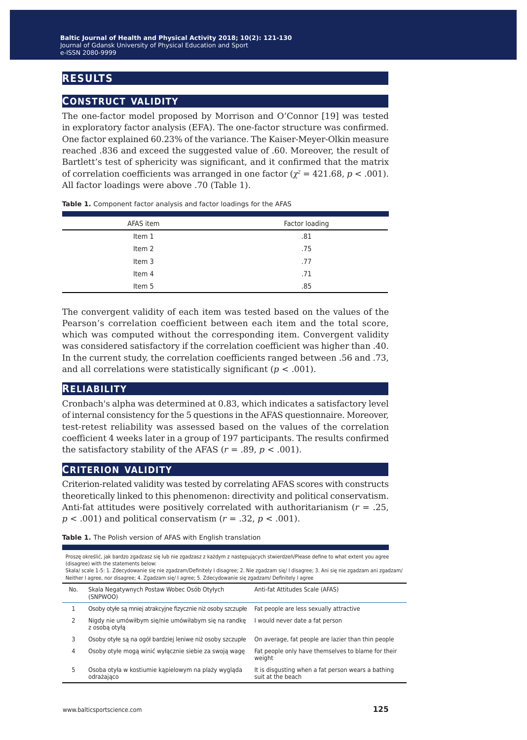# **results**

## **construct validity**

The one-factor model proposed by Morrison and O'Connor [19] was tested in exploratory factor analysis (EFA). The one-factor structure was confirmed. One factor explained 60.23% of the variance. The Kaiser-Meyer-Olkin measure reached .836 and exceed the suggested value of .60. Moreover, the result of Bartlett's test of sphericity was significant, and it confirmed that the matrix of correlation coefficients was arranged in one factor ( $\chi^2$  = 421.68, *p* < .001). All factor loadings were above .70 (Table 1).

| AFAS item | Factor loading |
|-----------|----------------|
| Item 1    | .81            |
| Item 2    | .75            |
| Item 3    | .77            |
| Item 4    | .71            |
| Item 5    | .85            |

**Table 1.** Component factor analysis and factor loadings for the AFAS

The convergent validity of each item was tested based on the values of the Pearson's correlation coefficient between each item and the total score, which was computed without the corresponding item. Convergent validity was considered satisfactory if the correlation coefficient was higher than .40. In the current study, the correlation coefficients ranged between .56 and .73, and all correlations were statistically significant (*p* < .001).

#### **reliability**

Cronbach's alpha was determined at 0.83, which indicates a satisfactory level of internal consistency for the 5 questions in the AFAS questionnaire. Moreover, test-retest reliability was assessed based on the values of the correlation coefficient 4 weeks later in a group of 197 participants. The results confirmed the satisfactory stability of the AFAS  $(r = .89, p < .001)$ .

#### **criterion validity**

Criterion-related validity was tested by correlating AFAS scores with constructs theoretically linked to this phenomenon: directivity and political conservatism. Anti-fat attitudes were positively correlated with authoritarianism (*r* = .25, *p* < .001) and political conservatism (*r* = .32, *p* < .001).

**Table 1.** The Polish version of AFAS with English translation

| Proszę określić, jak bardzo zgadzasz się lub nie zgadzasz z każdym z następujących stwierdzeń/Please define to what extent you agree |
|--------------------------------------------------------------------------------------------------------------------------------------|
| (disagree) with the statements below:                                                                                                |
| ALLI LAPATH I I I AR ALLI PANI I INDIA TAILLE I I I                                                                                  |

Skala/ scale 1-5: 1. Zdecydowanie się nie zgadzam/Definitely I disagree; 2. Nie zgadzam się/ I disagree; 3. Ani się nie zgadzam ani zgadzam/ Neither I agree, nor disagree; 4. Zgadzam się/ I agree; 5. Zdecydowanie się zgadzam/ Definitely I agree

| No. | Skala Negatywnych Postaw Wobec Osób Otyłych<br>(SNPWOO)               | Anti-fat Attitudes Scale (AFAS)                                         |
|-----|-----------------------------------------------------------------------|-------------------------------------------------------------------------|
|     | Osoby otyłe są mniej atrakcyjne fizycznie niż osoby szczupłe          | Fat people are less sexually attractive                                 |
|     | Nigdy nie umówiłbym się/nie umówiłabym się na randkę<br>z osoba otyła | would never date a fat person                                           |
| 3   | Osoby otyłe są na ogół bardziej leniwe niż osoby szczupłe             | On average, fat people are lazier than thin people                      |
| 4   | Osoby otyłe mogą winić wyłącznie siebie za swoją wagę                 | Fat people only have themselves to blame for their<br>weight            |
| 5   | Osoba otyła w kostiumie kapielowym na plaży wygląda<br>odrażająco     | It is disgusting when a fat person wears a bathing<br>suit at the beach |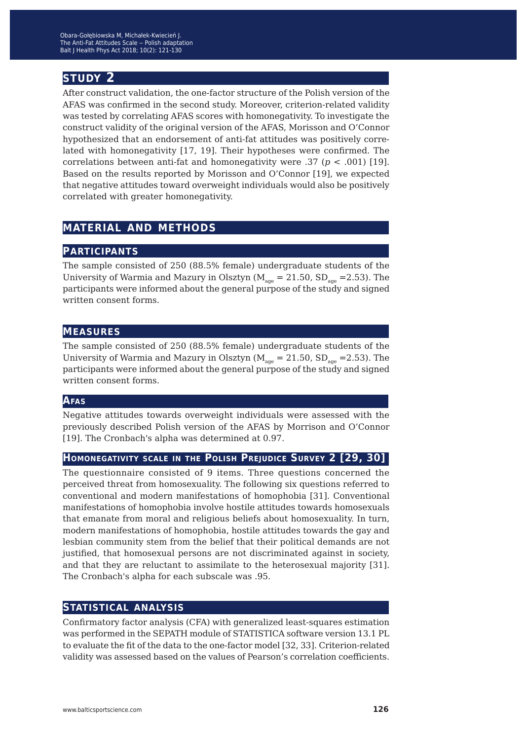# **study 2**

After construct validation, the one-factor structure of the Polish version of the AFAS was confirmed in the second study. Moreover, criterion-related validity was tested by correlating AFAS scores with homonegativity. To investigate the construct validity of the original version of the AFAS, Morisson and O'Connor hypothesized that an endorsement of anti-fat attitudes was positively correlated with homonegativity [17, 19]. Their hypotheses were confirmed. The correlations between anti-fat and homonegativity were .37 (*p* < .001) [19]. Based on the results reported by Morisson and O'Connor [19], we expected that negative attitudes toward overweight individuals would also be positively correlated with greater homonegativity.

# **material and methods**

#### **participants**

The sample consisted of 250 (88.5% female) undergraduate students of the University of Warmia and Mazury in Olsztyn ( $M_{\text{age}} = 21.50$ ,  $SD_{\text{age}} = 2.53$ ). The participants were informed about the general purpose of the study and signed written consent forms.

#### **measures**

The sample consisted of 250 (88.5% female) undergraduate students of the University of Warmia and Mazury in Olsztyn ( $M_{\text{age}} = 21.50$ ,  $SD_{\text{age}} = 2.53$ ). The participants were informed about the general purpose of the study and signed written consent forms.

#### **Afas**

Negative attitudes towards overweight individuals were assessed with the previously described Polish version of the AFAS by Morrison and O'Connor [19]. The Cronbach's alpha was determined at 0.97.

#### **Homonegativity scale in the Polish Prejudice Survey 2 [29, 30]**

The questionnaire consisted of 9 items. Three questions concerned the perceived threat from homosexuality. The following six questions referred to conventional and modern manifestations of homophobia [31]. Conventional manifestations of homophobia involve hostile attitudes towards homosexuals that emanate from moral and religious beliefs about homosexuality. In turn, modern manifestations of homophobia, hostile attitudes towards the gay and lesbian community stem from the belief that their political demands are not justified, that homosexual persons are not discriminated against in society, and that they are reluctant to assimilate to the heterosexual majority [31]. The Cronbach's alpha for each subscale was .95.

## **statistical analysis**

Confirmatory factor analysis (CFA) with generalized least-squares estimation was performed in the SEPATH module of STATISTICA software version 13.1 PL to evaluate the fit of the data to the one-factor model [32, 33]. Criterion-related validity was assessed based on the values of Pearson's correlation coefficients.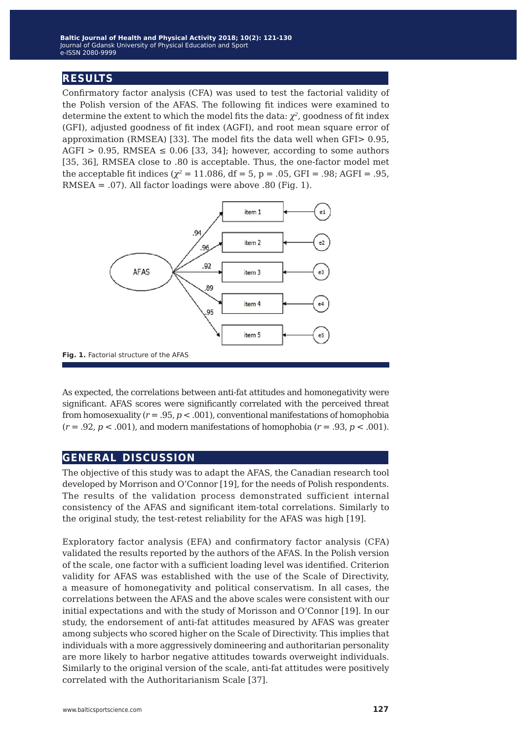# **results**

Confirmatory factor analysis (CFA) was used to test the factorial validity of the Polish version of the AFAS. The following fit indices were examined to determine the extent to which the model fits the data: *χ<sup>2</sup>*, goodness of fit index (GFI), adjusted goodness of fit index (AGFI), and root mean square error of approximation (RMSEA) [33]. The model fits the data well when GFI> 0.95, AGFI > 0.95, RMSEA  $\leq$  0.06 [33, 34]; however, according to some authors [35, 36], RMSEA close to .80 is acceptable. Thus, the one-factor model met the acceptable fit indices ( $\chi^2$  = 11.086, df = 5, p = .05, GFI = .98; AGFI = .95, RMSEA = .07). All factor loadings were above .80 (Fig. 1).



**Fig. 1.** Factorial structure of the AFAS

As expected, the correlations between anti-fat attitudes and homonegativity were significant. AFAS scores were significantly correlated with the perceived threat from homosexuality (*r* = .95, *p* < .001), conventional manifestations of homophobia  $(r = .92, p < .001)$ , and modern manifestations of homophobia  $(r = .93, p < .001)$ .

## **general discussion**

The objective of this study was to adapt the AFAS, the Canadian research tool developed by Morrison and O'Connor [19], for the needs of Polish respondents. The results of the validation process demonstrated sufficient internal consistency of the AFAS and significant item-total correlations. Similarly to the original study, the test-retest reliability for the AFAS was high [19].

Exploratory factor analysis (EFA) and confirmatory factor analysis (CFA) validated the results reported by the authors of the AFAS. In the Polish version of the scale, one factor with a sufficient loading level was identified. Criterion validity for AFAS was established with the use of the Scale of Directivity, a measure of homonegativity and political conservatism. In all cases, the correlations between the AFAS and the above scales were consistent with our initial expectations and with the study of Morisson and O'Connor [19]. In our study, the endorsement of anti-fat attitudes measured by AFAS was greater among subjects who scored higher on the Scale of Directivity. This implies that individuals with a more aggressively domineering and authoritarian personality are more likely to harbor negative attitudes towards overweight individuals. Similarly to the original version of the scale, anti-fat attitudes were positively correlated with the Authoritarianism Scale [37].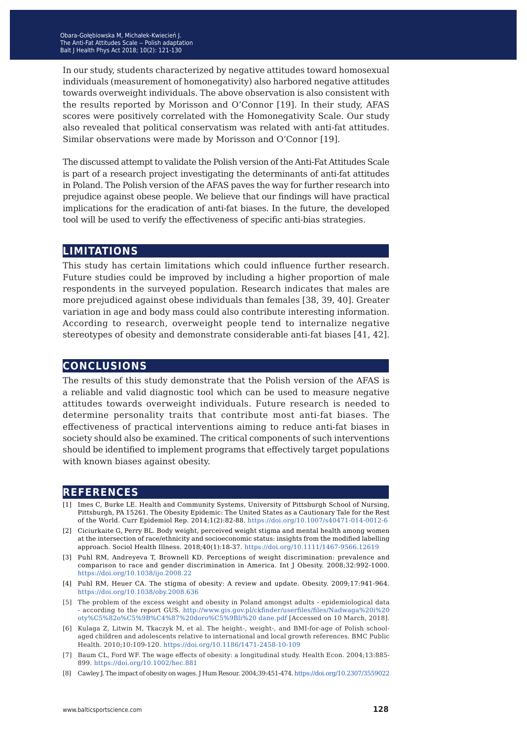In our study, students characterized by negative attitudes toward homosexual individuals (measurement of homonegativity) also harbored negative attitudes towards overweight individuals. The above observation is also consistent with the results reported by Morisson and O'Connor [19]. In their study, AFAS scores were positively correlated with the Homonegativity Scale. Our study also revealed that political conservatism was related with anti-fat attitudes. Similar observations were made by Morisson and O'Connor [19].

The discussed attempt to validate the Polish version of the Anti-Fat Attitudes Scale is part of a research project investigating the determinants of anti-fat attitudes in Poland. The Polish version of the AFAS paves the way for further research into prejudice against obese people. We believe that our findings will have practical implications for the eradication of anti-fat biases. In the future, the developed tool will be used to verify the effectiveness of specific anti-bias strategies.

#### **limitations**

This study has certain limitations which could influence further research. Future studies could be improved by including a higher proportion of male respondents in the surveyed population. Research indicates that males are more prejudiced against obese individuals than females [38, 39, 40]. Greater variation in age and body mass could also contribute interesting information. According to research, overweight people tend to internalize negative stereotypes of obesity and demonstrate considerable anti-fat biases [41, 42].

#### **conclusions**

The results of this study demonstrate that the Polish version of the AFAS is a reliable and valid diagnostic tool which can be used to measure negative attitudes towards overweight individuals. Future research is needed to determine personality traits that contribute most anti-fat biases. The effectiveness of practical interventions aiming to reduce anti-fat biases in society should also be examined. The critical components of such interventions should be identified to implement programs that effectively target populations with known biases against obesity.

#### **references**

- [1] Imes C, Burke LE. Health and Community Systems, University of Pittsburgh School of Nursing, Pittsburgh, PA 15261. The Obesity Epidemic: The United States as a Cautionary Tale for the Rest of the World. Curr Epidemiol Rep. 2014;1(2):82-88. <https://doi.org/10.1007/s40471-014-0012-6>
- [2] Ciciurkaite G, Perry BL. Body weight, perceived weight stigma and mental health among women at the intersection of race/ethnicity and socioeconomic status: insights from the modified labelling approach. Sociol Health Illness. 2018;40(1):18-37.<https://doi.org/10.1111/1467-9566.12619>
- [3] Puhl RM, Andreyeva T, Brownell KD. Perceptions of weight discrimination: prevalence and comparison to race and gender discrimination in America. Int J Obesity. 2008;32:992-1000. <https://doi.org/10.1038/ijo.2008.22>
- [4] Puhl RM, Heuer CA. The stigma of obesity: A review and update. Obesity. 2009;17:941-964. <https://doi.org/10.1038/oby.2008.636>
- [5] The problem of the excess weight and obesity in Poland amongst adults epidemiological data - according to the report GUS. [http://www.gis.gov.pl/ckfinder/userfiles/files/Nadwaga%20i%20](https://doi.org/10.1038/oby.2008.636) [oty%C5%82o%C5%9B%C4%87%20doro%C5%9Bli%20 dane.pdf \[](https://doi.org/10.1038/oby.2008.636)Accessed on 10 March, 2018].
- [6] Kulaga Z, Litwin M, Tkaczyk M, et al. The height-, weight-, and BMI-for-age of Polish schoolaged children and adolescents relative to international and local growth references. BMC Public Health. 2010;10:109-120. <https://doi.org/10.1186/1471-2458-10-109>
- [7] Baum CL, Ford WF. The wage effects of obesity: a longitudinal study. Health Econ. 2004;13:885- 899.<https://doi.org/10.1002/hec.881>
- [8] Cawley J. The impact of obesity on wages. J Hum Resour. 2004;39:451-474.<https://doi.org/10.2307/3559022>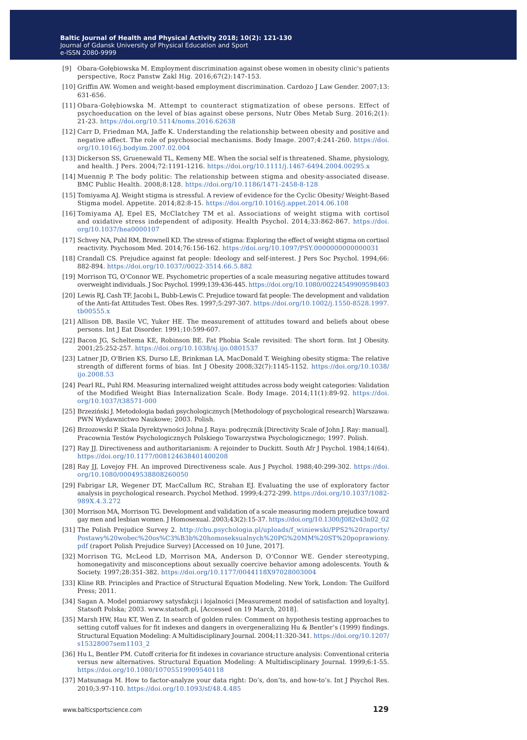- [9] Obara-Gołębiowska M. Employment discrimination against obese women in obesity clinic's patients perspective, Rocz Panstw Zakl Hig. 2016;67(2):147-153.
- [10] Griffin AW. Women and weight-based employment discrimination. Cardozo J Law Gender. 2007;13: 631-656.
- [11] Obara-Gołębiowska M. Attempt to counteract stigmatization of obese persons. Effect of psychoeducation on the level of bias against obese persons, Nutr Obes Metab Surg. 2016;2(1): 21-23. <https://doi.org/10.5114/noms.2016.62638>
- [12] Carr D, Friedman MA, Jaffe K. Understanding the relationship between obesity and positive and negative affect. The role of psychosocial mechanisms. Body Image. 2007;4:241-260. [https://doi.](https://doi.org/10.1016/j.bodyim.2007.02.004) [org/10.1016/j.bodyim.2007.02.004](https://doi.org/10.1016/j.bodyim.2007.02.004)
- [13] Dickerson SS, Gruenewald TL, Kemeny ME. When the social self is threatened. Shame, physiology, and health. J Pers. 2004;72:1191-1216. <https://doi.org/10.1111/j.1467-6494.2004.00295.x>
- [14] Muennig P. The body politic: The relationship between stigma and obesity-associated disease. BMC Public Health. 2008;8:128.<https://doi.org/10.1186/1471-2458-8-128>
- [15] Tomiyama AJ. Weight stigma is stressful. A review of evidence for the Cyclic Obesity/ Weight-Based Stigma model. Appetite. 2014;82:8-15. <https://doi.org/10.1016/j.appet.2014.06.108>
- [16] Tomiyama AJ, Epel ES, McClatchey TM et al. Associations of weight stigma with cortisol and oxidative stress independent of adiposity. Health Psychol. 2014;33:862-867. [https://doi.](https://doi.org/10.1037/hea0000107) [org/10.1037/hea0000107](https://doi.org/10.1037/hea0000107)
- [17] Schvey NA, Puhl RM, Brownell KD. The stress of stigma: Exploring the effect of weight stigma on cortisol reactivity. Psychosom Med. 2014;76:156-162.<https://doi.org/10.1097/PSY.0000000000000031>
- [18] Crandall CS. Prejudice against fat people: Ideology and self-interest. J Pers Soc Psychol. 1994;66: 882-894.<https://doi.org/10.1037//0022-3514.66.5.882>
- [19] Morrison TG, O'Connor WE. Psychometric properties of a scale measuring negative attitudes toward overweight individuals. J Soc Psychol. 1999;139:436-445.<https://doi.org/10.1080/00224549909598403>
- [20] Lewis RJ, Cash TF, Jacobi L, Bubb-Lewis C. Prejudice toward fat people: The development and validation of the Anti-fat Attitudes Test. Obes Res. 1997;5:297-307. [https://doi.org/10.1002/j.1550-8528.1997.](https://doi.org/10.1002/j.1550-8528.1997.tb00555.x) [tb00555.x](https://doi.org/10.1002/j.1550-8528.1997.tb00555.x)
- [21] Allison DB, Basile VC, Yuker HE. The measurement of attitudes toward and beliefs about obese persons. Int J Eat Disorder. 1991;10:599-607.
- [22] Bacon JG, Scheltema KE, Robinson BE. Fat Phobia Scale revisited: The short form. Int J Obesity. 2001;25:252-257.<https://doi.org/10.1038/sj.ijo.0801537>
- [23] Latner JD, O'Brien KS, Durso LE, Brinkman LA, MacDonald T. Weighing obesity stigma: The relative strength of different forms of bias. Int J Obesity 2008;32(7):1145-1152. [https://doi.org/10.1038/](https://doi.org/10.1038/ijo.2008.53) [ijo.2008.53](https://doi.org/10.1038/ijo.2008.53)
- [24] Pearl RL, Puhl RM. Measuring internalized weight attitudes across body weight categories: Validation of the Modified Weight Bias Internalization Scale. Body Image. 2014;11(1):89-92. [https://doi.](https://doi.org/10.1037/t38571-000) [org/10.1037/t38571-000](https://doi.org/10.1037/t38571-000)
- [25] Brzeziński J. Metodologia badań psychologicznych [Methodology of psychological research] Warszawa: PWN Wydawnictwo Naukowe; 2003. Polish.
- [26] Brzozowski P. Skala Dyrektywności Johna J. Raya: podręcznik [Directivity Scale of John J. Ray: manual]. Pracownia Testów Psychologicznych Polskiego Towarzystwa Psychologicznego; 1997. Polish.
- [27] Ray JJ. Directiveness and authoritarianism: A rejoinder to Duckitt. South Afr J Psychol. 1984;14(64). <https://doi.org/10.1177/008124638401400208>
- [28] Ray JJ, Lovejoy FH. An improved Directiveness scale. Aus J Psychol. 1988;40:299-302. [https://doi.](https://doi.org/10.1080/00049538808260050) [org/10.1080/00049538808260050](https://doi.org/10.1080/00049538808260050)
- [29] Fabrigar LR, Wegener DT, MacCallum RC, Strahan EJ. Evaluating the use of exploratory factor analysis in psychological research. Psychol Method. 1999;4:272-299. [https://doi.org/10.1037/1082-](https://doi.org/10.1037/1082-989X.4.3.272) [989X.4.3.272](https://doi.org/10.1037/1082-989X.4.3.272)
- [30] Morrison MA, Morrison TG. Development and validation of a scale measuring modern prejudice toward gay men and lesbian women. J Homosexual. 2003;43(2):15-37. [https://doi.org/10.1300/J082v43n02\\_02](https://doi.org/10.1300/J082v43n02_02)
- [31] The Polish Prejudice Survey 2. [http://cbu.psychologia.pl/uploads/f\\_winiewski/PPS2%20raporty/](http://cbu.psychologia.pl/uploads/f_winiewski/PPS2%20raporty/Postawy%20wobec%20os%C3%B3b%20homoseksualnych%20PG%20MM%20ST%20poprawiony.pdf) [Postawy%20wobec%20os%C3%B3b%20homoseksualnych%20PG%20MM%20ST%20poprawiony.](http://cbu.psychologia.pl/uploads/f_winiewski/PPS2%20raporty/Postawy%20wobec%20os%C3%B3b%20homoseksualnych%20PG%20MM%20ST%20poprawiony.pdf) [pdf](http://cbu.psychologia.pl/uploads/f_winiewski/PPS2%20raporty/Postawy%20wobec%20os%C3%B3b%20homoseksualnych%20PG%20MM%20ST%20poprawiony.pdf) (raport Polish Prejudice Survey) [Accessed on 10 June, 2017].
- [32] Morrison TG, McLeod LD, Morrison MA, Anderson D, O'Connor WE. Gender stereotyping, homonegativity and misconceptions about sexually coercive behavior among adolescents. Youth & Society. 1997;28:351-382.<https://doi.org/10.1177/0044118X97028003004>
- [33] Kline RB. Principles and Practice of Structural Equation Modeling. New York, London: The Guilford Press; 2011.
- [34] Sagan A. Model pomiarowy satysfakcji i lojalności [Measurement model of satisfaction and loyalty]. Statsoft Polska; 2003. www.statsoft.pl, [Accessed on 19 March, 2018].
- [35] Marsh HW, Hau KT, Wen Z. In search of golden rules: Comment on hypothesis testing approaches to setting cutoff values for fit indexes and dangers in overgeneralizing Hu & Bentler's (1999) findings. Structural Equation Modeling: A Multidisciplinary Journal. 2004;11:320-341. [https://doi.org/10.1207/](https://doi.org/10.1207/s15328007sem1103_2) [s15328007sem1103\\_2](https://doi.org/10.1207/s15328007sem1103_2)
- [36] Hu L, Bentler PM. Cutoff criteria for fit indexes in covariance structure analysis: Conventional criteria versus new alternatives. Structural Equation Modeling: A Multidisciplinary Journal. 1999;6:1-55. <https://doi.org/10.1080/10705519909540118>
- [37] Matsunaga M. How to factor-analyze your data right: Do's, don'ts, and how-to's. Int J Psychol Res. 2010;3:97-110. <https://doi.org/10.1093/sf/48.4.485>